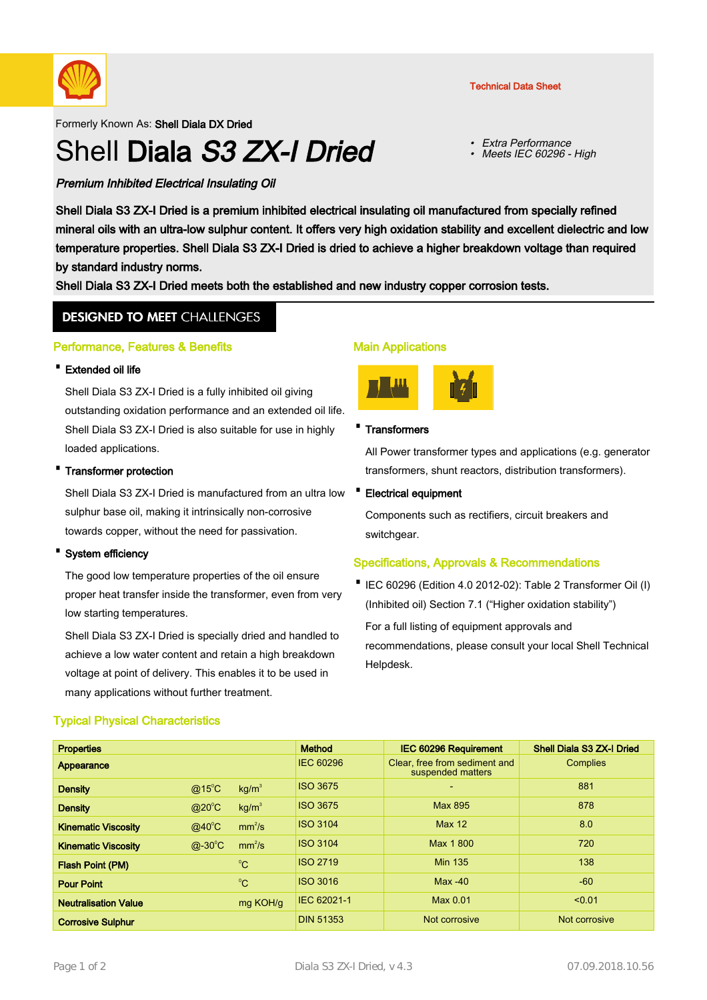

Formerly Known As: Shell Diala DX Dried

# Shell Diala S3 ZX-I Dried

Technical Data Sheet

- Extra Performance
- •Meets IEC 60296 - High

# Premium Inhibited Electrical Insulating Oil

Shell Diala S3 ZX-I Dried is a premium inhibited electrical insulating oil manufactured from specially refined mineral oils with an ultra-low sulphur content. It offers very high oxidation stability and excellent dielectric and low temperature properties. Shell Diala S3 ZX-I Dried is dried to achieve a higher breakdown voltage than required by standard industry norms.

Shell Diala S3 ZX-I Dried meets both the established and new industry copper corrosion tests.

# **DESIGNED TO MEET CHALLENGES**

### Performance, Features & Benefits

### · Extended oil life

Shell Diala S3 ZX-I Dried is a fully inhibited oil giving outstanding oxidation performance and an extended oil life. Shell Diala S3 ZX-I Dried is also suitable for use in highly loaded applications.

### · Transformer protection

Shell Diala S3 ZX-I Dried is manufactured from an ultra low • sulphur base oil, making it intrinsically non-corrosive towards copper, without the need for passivation.

#### · System efficiency

The good low temperature properties of the oil ensure proper heat transfer inside the transformer, even from very low starting temperatures.

Shell Diala S3 ZX-I Dried is specially dried and handled to achieve a low water content and retain a high breakdown voltage at point of delivery. This enables it to be used in many applications without further treatment.

## Typical Physical Characteristics

### Main Applications



#### · Transformers

All Power transformer types and applications (e.g. generator transformers, shunt reactors, distribution transformers).

#### **Electrical equipment**

Components such as rectifiers, circuit breakers and switchgear.

## Specifications, Approvals & Recommendations

• IEC 60296 (Edition 4.0 2012-02): Table 2 Transformer Oil (I) (Inhibited oil) Section 7.1 ("Higher oxidation stability")

For a full listing of equipment approvals and recommendations, please consult your local Shell Technical Helpdesk.

| <b>Properties</b>           |                  |                    | <b>Method</b>    | <b>IEC 60296 Requirement</b>                       | Shell Diala S3 ZX-I Dried |
|-----------------------------|------------------|--------------------|------------------|----------------------------------------------------|---------------------------|
| Appearance                  |                  |                    | <b>IEC 60296</b> | Clear, free from sediment and<br>suspended matters | Complies                  |
| <b>Density</b>              | @15 $^{\circ}$ C | kg/m <sup>3</sup>  | <b>ISO 3675</b>  | $\overline{\phantom{0}}$                           | 881                       |
| <b>Density</b>              | $@20^{\circ}C$   | kg/m <sup>3</sup>  | <b>ISO 3675</b>  | Max 895                                            | 878                       |
| <b>Kinematic Viscosity</b>  | $@40^{\circ}$ C  | mm <sup>2</sup> /s | <b>ISO 3104</b>  | <b>Max 12</b>                                      | 8.0                       |
| <b>Kinematic Viscosity</b>  | $@-30^{\circ}C$  | mm <sup>2</sup> /s | <b>ISO 3104</b>  | Max 1800                                           | 720                       |
| <b>Flash Point (PM)</b>     |                  | $^{\circ}C$        | <b>ISO 2719</b>  | <b>Min 135</b>                                     | 138                       |
| <b>Pour Point</b>           |                  | $^{\circ}$ C       | <b>ISO 3016</b>  | $Max -40$                                          | $-60$                     |
| <b>Neutralisation Value</b> |                  | mg KOH/g           | IEC 62021-1      | Max 0.01                                           | < 0.01                    |
| <b>Corrosive Sulphur</b>    |                  |                    | <b>DIN 51353</b> | Not corrosive                                      | Not corrosive             |